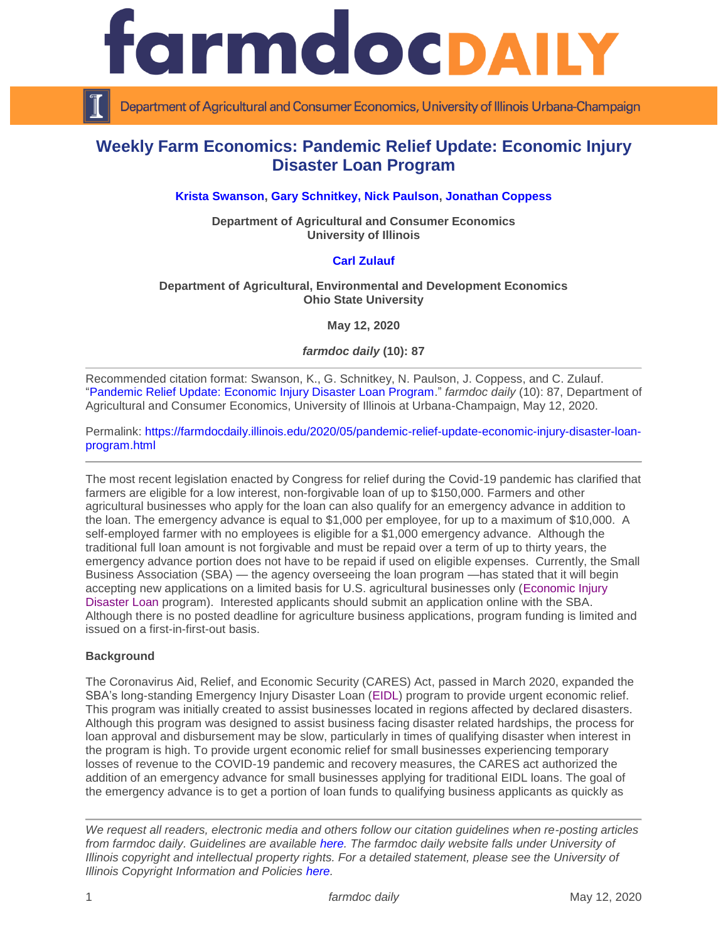

Department of Agricultural and Consumer Economics, University of Illinois Urbana-Champaign

# **Weekly Farm Economics: Pandemic Relief Update: Economic Injury Disaster Loan Program**

## **[Krista Swanson,](https://ace.illinois.edu/directory/krista) [Gary Schnitkey,](https://ace.illinois.edu/directory/schnitke) [Nick Paulson,](https://ace.illinois.edu/directory/npaulson) [Jonathan Coppess](https://ace.illinois.edu/directory/jwcoppes)**

**Department of Agricultural and Consumer Economics University of Illinois**

### **[Carl Zulauf](http://aede.osu.edu/our-people/carl-zulauf)**

### **Department of Agricultural, Environmental and Development Economics Ohio State University**

**May 12, 2020**

*farmdoc daily* **(10): 87**

Recommended citation format: Swanson, K., G. Schnitkey, N. Paulson, J. Coppess, and C. Zulauf. ["Pandemic Relief Update: Economic Injury Disaster Loan Program.](https://farmdocdaily.illinois.edu/2020/05/pandemic-relief-update-economic-injury-disaster-loan-program.html)" *farmdoc daily* (10): 87, Department of Agricultural and Consumer Economics, University of Illinois at Urbana-Champaign, May 12, 2020.

Permalink: [https://farmdocdaily.illinois.edu/2020/05/pandemic-relief-update-economic-injury-disaster-loan](https://farmdocdaily.illinois.edu/2020/05/pandemic-relief-update-economic-injury-disaster-loan-program.html)[program.html](https://farmdocdaily.illinois.edu/2020/05/pandemic-relief-update-economic-injury-disaster-loan-program.html)

The most recent legislation enacted by Congress for relief during the Covid-19 pandemic has clarified that farmers are eligible for a low interest, non-forgivable loan of up to \$150,000. Farmers and other agricultural businesses who apply for the loan can also qualify for an emergency advance in addition to the loan. The emergency advance is equal to \$1,000 per employee, for up to a maximum of \$10,000. A self-employed farmer with no employees is eligible for a \$1,000 emergency advance. Although the traditional full loan amount is not forgivable and must be repaid over a term of up to thirty years, the emergency advance portion does not have to be repaid if used on eligible expenses. Currently, the Small Business Association (SBA) — the agency overseeing the loan program —has stated that it will begin accepting new applications on a limited basis for U.S. agricultural businesses only [\(Economic Injury](https://www.sba.gov/funding-programs/loans/coronavirus-relief-options/economic-injury-disaster-loan-emergency-advance)  [Disaster Loan](https://www.sba.gov/funding-programs/loans/coronavirus-relief-options/economic-injury-disaster-loan-emergency-advance) program). Interested applicants should submit an application online with the SBA. Although there is no posted deadline for agriculture business applications, program funding is limited and issued on a first-in-first-out basis.

### **Background**

The Coronavirus Aid, Relief, and Economic Security (CARES) Act, passed in March 2020, expanded the SBA's long-standing Emergency Injury Disaster Loan [\(EIDL\)](https://www.sba.gov/funding-programs/loans/coronavirus-relief-options/economic-injury-disaster-loan-emergency-advance) program to provide urgent economic relief. This program was initially created to assist businesses located in regions affected by declared disasters. Although this program was designed to assist business facing disaster related hardships, the process for loan approval and disbursement may be slow, particularly in times of qualifying disaster when interest in the program is high. To provide urgent economic relief for small businesses experiencing temporary losses of revenue to the COVID-19 pandemic and recovery measures, the CARES act authorized the addition of an emergency advance for small businesses applying for traditional EIDL loans. The goal of the emergency advance is to get a portion of loan funds to qualifying business applicants as quickly as

*We request all readers, electronic media and others follow our citation guidelines when re-posting articles from farmdoc daily. Guidelines are available [here.](http://farmdocdaily.illinois.edu/citationguide.html) The farmdoc daily website falls under University of Illinois copyright and intellectual property rights. For a detailed statement, please see the University of Illinois Copyright Information and Policies [here.](http://www.cio.illinois.edu/policies/copyright/)*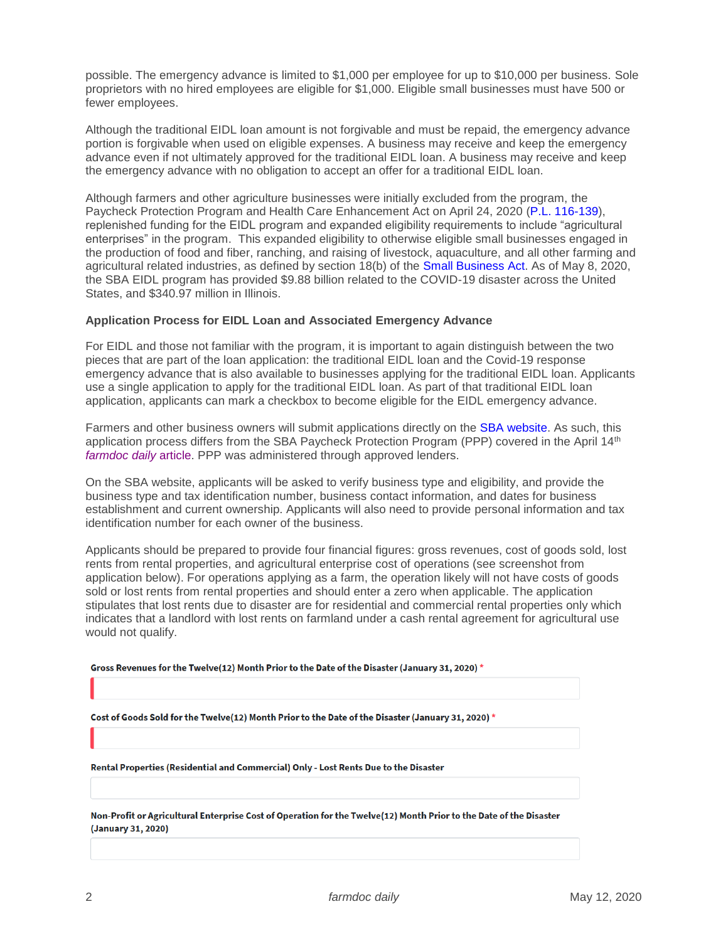possible. The emergency advance is limited to \$1,000 per employee for up to \$10,000 per business. Sole proprietors with no hired employees are eligible for \$1,000. Eligible small businesses must have 500 or fewer employees.

Although the traditional EIDL loan amount is not forgivable and must be repaid, the emergency advance portion is forgivable when used on eligible expenses. A business may receive and keep the emergency advance even if not ultimately approved for the traditional EIDL loan. A business may receive and keep the emergency advance with no obligation to accept an offer for a traditional EIDL loan.

Although farmers and other agriculture businesses were initially excluded from the program, the Paycheck Protection Program and Health Care Enhancement Act on April 24, 2020 [\(P.L. 116-139\)](https://www.congress.gov/116/plaws/publ139/PLAW-116publ139.pdf), replenished funding for the EIDL program and expanded eligibility requirements to include "agricultural enterprises" in the program. This expanded eligibility to otherwise eligible small businesses engaged in the production of food and fiber, ranching, and raising of livestock, aquaculture, and all other farming and agricultural related industries, as defined by section 18(b) of the [Small Business Act.](https://www.sba.gov/sites/default/files/Small%20Business%20Act_0.pdf) As of May 8, 2020, the SBA EIDL program has provided \$9.88 billion related to the COVID-19 disaster across the United States, and \$340.97 million in Illinois.

### **Application Process for EIDL Loan and Associated Emergency Advance**

For EIDL and those not familiar with the program, it is important to again distinguish between the two pieces that are part of the loan application: the traditional EIDL loan and the Covid-19 response emergency advance that is also available to businesses applying for the traditional EIDL loan. Applicants use a single application to apply for the traditional EIDL loan. As part of that traditional EIDL loan application, applicants can mark a checkbox to become eligible for the EIDL emergency advance.

Farmers and other business owners will submit applications directly on the [SBA website.](https://www.sba.gov/funding-programs/loans/coronavirus-relief-options/economic-injury-disaster-loan-emergency-advance) As such, this application process differs from the SBA Paycheck Protection Program (PPP) covered in the April 14<sup>th</sup> *[farmdoc](https://farmdocdaily.illinois.edu/2020/04/the-paycheck-protection-program-ppp-of-the-cares-act.html) daily* article. PPP was administered through approved lenders.

On the SBA website, applicants will be asked to verify business type and eligibility, and provide the business type and tax identification number, business contact information, and dates for business establishment and current ownership. Applicants will also need to provide personal information and tax identification number for each owner of the business.

Applicants should be prepared to provide four financial figures: gross revenues, cost of goods sold, lost rents from rental properties, and agricultural enterprise cost of operations (see screenshot from application below). For operations applying as a farm, the operation likely will not have costs of goods sold or lost rents from rental properties and should enter a zero when applicable. The application stipulates that lost rents due to disaster are for residential and commercial rental properties only which indicates that a landlord with lost rents on farmland under a cash rental agreement for agricultural use would not qualify.

Gross Revenues for the Twelve(12) Month Prior to the Date of the Disaster (January 31, 2020) \*

Cost of Goods Sold for the Twelve(12) Month Prior to the Date of the Disaster (January 31, 2020) \*

Rental Properties (Residential and Commercial) Only - Lost Rents Due to the Disaster

Non-Profit or Agricultural Enterprise Cost of Operation for the Twelve(12) Month Prior to the Date of the Disaster (January 31, 2020)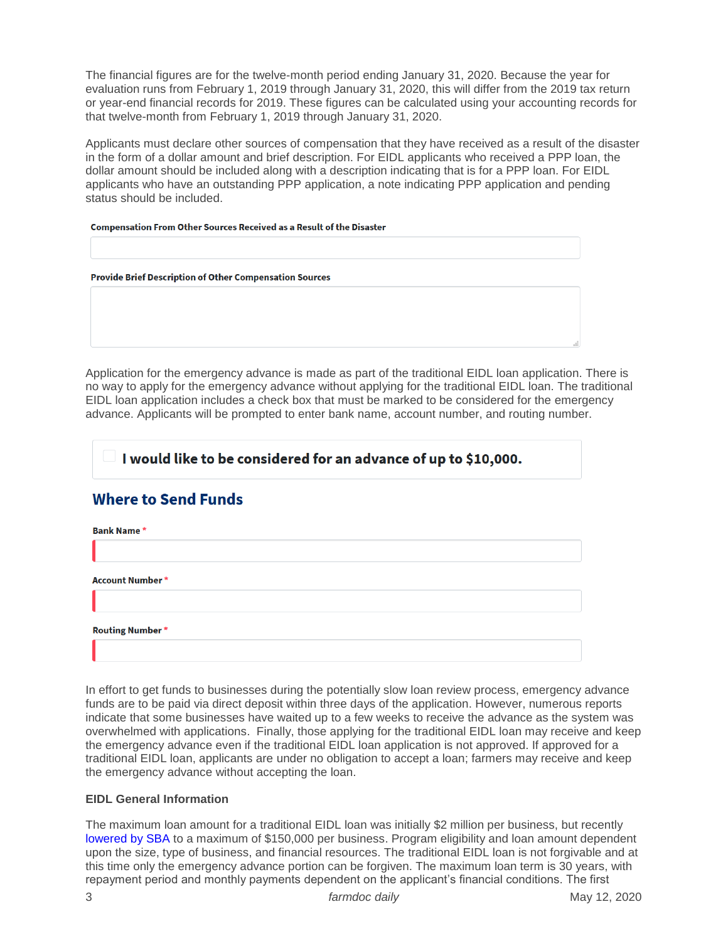The financial figures are for the twelve-month period ending January 31, 2020. Because the year for evaluation runs from February 1, 2019 through January 31, 2020, this will differ from the 2019 tax return or year-end financial records for 2019. These figures can be calculated using your accounting records for that twelve-month from February 1, 2019 through January 31, 2020.

Applicants must declare other sources of compensation that they have received as a result of the disaster in the form of a dollar amount and brief description. For EIDL applicants who received a PPP loan, the dollar amount should be included along with a description indicating that is for a PPP loan. For EIDL applicants who have an outstanding PPP application, a note indicating PPP application and pending status should be included.

#### **Compensation From Other Sources Received as a Result of the Disaster**

Application for the emergency advance is made as part of the traditional EIDL loan application. There is no way to apply for the emergency advance without applying for the traditional EIDL loan. The traditional EIDL loan application includes a check box that must be marked to be considered for the emergency advance. Applicants will be prompted to enter bank name, account number, and routing number.

## I would like to be considered for an advance of up to \$10,000.

# **Where to Send Funds**

| <b>Bank Name*</b>      |  |  |  |
|------------------------|--|--|--|
|                        |  |  |  |
| <b>Account Number*</b> |  |  |  |
|                        |  |  |  |
| <b>Routing Number*</b> |  |  |  |
|                        |  |  |  |

In effort to get funds to businesses during the potentially slow loan review process, emergency advance funds are to be paid via direct deposit within three days of the application. However, numerous reports indicate that some businesses have waited up to a few weeks to receive the advance as the system was overwhelmed with applications. Finally, those applying for the traditional EIDL loan may receive and keep the emergency advance even if the traditional EIDL loan application is not approved. If approved for a traditional EIDL loan, applicants are under no obligation to accept a loan; farmers may receive and keep the emergency advance without accepting the loan.

## **EIDL General Information**

The maximum loan amount for a traditional EIDL loan was initially \$2 million per business, but recently [lowered by SBA](https://www.washingtonpost.com/business/2020/05/07/sba-disaster-loans/) to a maximum of \$150,000 per business. Program eligibility and loan amount dependent upon the size, type of business, and financial resources. The traditional EIDL loan is not forgivable and at this time only the emergency advance portion can be forgiven. The maximum loan term is 30 years, with repayment period and monthly payments dependent on the applicant's financial conditions. The first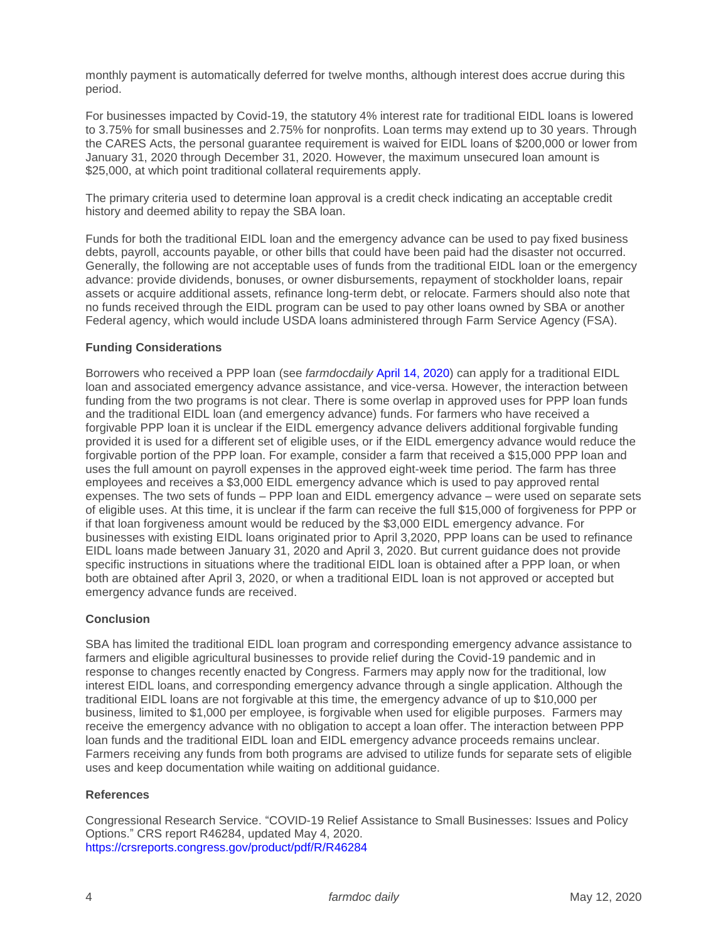monthly payment is automatically deferred for twelve months, although interest does accrue during this period.

For businesses impacted by Covid-19, the statutory 4% interest rate for traditional EIDL loans is lowered to 3.75% for small businesses and 2.75% for nonprofits. Loan terms may extend up to 30 years. Through the CARES Acts, the personal guarantee requirement is waived for EIDL loans of \$200,000 or lower from January 31, 2020 through December 31, 2020. However, the maximum unsecured loan amount is \$25,000, at which point traditional collateral requirements apply.

The primary criteria used to determine loan approval is a credit check indicating an acceptable credit history and deemed ability to repay the SBA loan.

Funds for both the traditional EIDL loan and the emergency advance can be used to pay fixed business debts, payroll, accounts payable, or other bills that could have been paid had the disaster not occurred. Generally, the following are not acceptable uses of funds from the traditional EIDL loan or the emergency advance: provide dividends, bonuses, or owner disbursements, repayment of stockholder loans, repair assets or acquire additional assets, refinance long-term debt, or relocate. Farmers should also note that no funds received through the EIDL program can be used to pay other loans owned by SBA or another Federal agency, which would include USDA loans administered through Farm Service Agency (FSA).

### **Funding Considerations**

Borrowers who received a PPP loan (see *farmdocdaily* [April 14, 2020\)](https://farmdocdaily.illinois.edu/2020/04/the-paycheck-protection-program-ppp-of-the-cares-act.html) can apply for a traditional EIDL loan and associated emergency advance assistance, and vice-versa. However, the interaction between funding from the two programs is not clear. There is some overlap in approved uses for PPP loan funds and the traditional EIDL loan (and emergency advance) funds. For farmers who have received a forgivable PPP loan it is unclear if the EIDL emergency advance delivers additional forgivable funding provided it is used for a different set of eligible uses, or if the EIDL emergency advance would reduce the forgivable portion of the PPP loan. For example, consider a farm that received a \$15,000 PPP loan and uses the full amount on payroll expenses in the approved eight-week time period. The farm has three employees and receives a \$3,000 EIDL emergency advance which is used to pay approved rental expenses. The two sets of funds – PPP loan and EIDL emergency advance – were used on separate sets of eligible uses. At this time, it is unclear if the farm can receive the full \$15,000 of forgiveness for PPP or if that loan forgiveness amount would be reduced by the \$3,000 EIDL emergency advance. For businesses with existing EIDL loans originated prior to April 3,2020, PPP loans can be used to refinance EIDL loans made between January 31, 2020 and April 3, 2020. But current guidance does not provide specific instructions in situations where the traditional EIDL loan is obtained after a PPP loan, or when both are obtained after April 3, 2020, or when a traditional EIDL loan is not approved or accepted but emergency advance funds are received.

### **Conclusion**

SBA has limited the traditional EIDL loan program and corresponding emergency advance assistance to farmers and eligible agricultural businesses to provide relief during the Covid-19 pandemic and in response to changes recently enacted by Congress. Farmers may apply now for the traditional, low interest EIDL loans, and corresponding emergency advance through a single application. Although the traditional EIDL loans are not forgivable at this time, the emergency advance of up to \$10,000 per business, limited to \$1,000 per employee, is forgivable when used for eligible purposes. Farmers may receive the emergency advance with no obligation to accept a loan offer. The interaction between PPP loan funds and the traditional EIDL loan and EIDL emergency advance proceeds remains unclear. Farmers receiving any funds from both programs are advised to utilize funds for separate sets of eligible uses and keep documentation while waiting on additional guidance.

### **References**

Congressional Research Service. "COVID-19 Relief Assistance to Small Businesses: Issues and Policy Options." CRS report R46284, updated May 4, 2020. <https://crsreports.congress.gov/product/pdf/R/R46284>